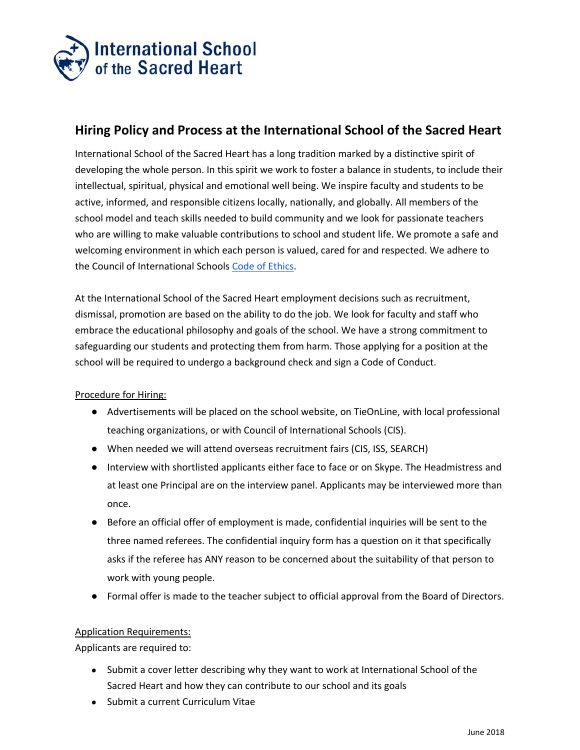

## **Hiring Policy and Process at the International School of the Sacred Heart**

International School of the Sacred Heart has a long tradition marked by a distinctive spirit of developing the whole person. In this spirit we work to foster a balance in students, to include their intellectual, spiritual, physical and emotional well being. We inspire faculty and students to be active, informed, and responsible citizens locally, nationally, and globally. All members of the school model and teach skills needed to build community and we look for passionate teachers who are willing to make valuable contributions to school and student life. We promote a safe and welcoming environment in which each person is valued, cared for and respected. We adhere to the Council of International Schools Code of [Ethics](https://www.cois.org/page.cfm?p=3142).

At the International School of the Sacred Heart employment decisions such as recruitment, dismissal, promotion are based on the ability to do the job. We look for faculty and staff who embrace the educational philosophy and goals of the school. We have a strong commitment to safeguarding our students and protecting them from harm. Those applying for a position at the school will be required to undergo a background check and sign a Code of Conduct.

## Procedure for Hiring:

- Advertisements will be placed on the school website, on TieOnLine, with local professional teaching organizations, or with Council of International Schools (CIS).
- When needed we will attend overseas recruitment fairs (CIS, ISS, SEARCH)
- Interview with shortlisted applicants either face to face or on Skype. The Headmistress and at least one Principal are on the interview panel. Applicants may be interviewed more than once.
- Before an official offer of employment is made, confidential inquiries will be sent to the three named referees. The confidential inquiry form has a question on it that specifically asks if the referee has ANY reason to be concerned about the suitability of that person to work with young people.
- Formal offer is made to the teacher subject to official approval from the Board of Directors.

## Application Requirements:

Applicants are required to:

- Submit a cover letter describing why they want to work at International School of the Sacred Heart and how they can contribute to our school and its goals
- Submit a current Curriculum Vitae